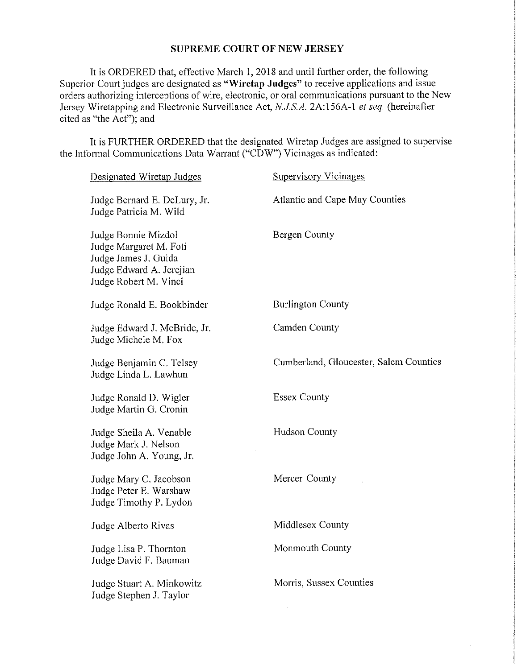## **SUPREME COURT OF NEW JERSEY**

It is ORDERED that, effective March I, 2018 and until futiher order, the following Superior Court judges are designated as **"Wiretap Judges"** to receive applications and issue orders authorizing interceptions of wire, electronic, or oral communications pursuant to the New Jersey Wiretapping and Electronic Surveillance Act, *N.JS.A.* 2A:156A-l *el seq.* (hereinafter cited as "the Act"); and

It is FURTHER ORDERED that the designated Wiretap Judges are assigned to supervise the Informal Communications Data Warrant ("CDW") Vicinages as indicated:

| Atlantic and Cape May Counties<br>Judge Bernard E. DeLury, Jr.<br>Judge Patricia M. Wild<br>Bergen County<br>Judge Bonnie Mizdol<br>Judge Margaret M. Foti<br>Judge James J. Guida<br>Judge Edward A. Jerejian<br>Judge Robert M. Vinci<br><b>Burlington County</b><br>Judge Ronald E. Bookbinder<br>Camden County<br>Judge Edward J. McBride, Jr.<br>Judge Michele M. Fox<br>Cumberland, Gloucester, Salem Counties<br>Judge Benjamin C. Telsey<br>Judge Linda L. Lawhun<br><b>Essex County</b><br>Judge Ronald D. Wigler<br>Judge Martin G. Cronin<br><b>Hudson County</b><br>Judge Sheila A. Venable<br>Judge Mark J. Nelson<br>Judge John A. Young, Jr.<br>Mercer County<br>Judge Mary C. Jacobson<br>Judge Peter E. Warshaw<br>Judge Timothy P. Lydon<br>Middlesex County<br>Judge Alberto Rivas<br>Monmouth County<br>Judge Lisa P. Thornton<br>Judge David F. Bauman<br>Morris, Sussex Counties<br>Judge Stuart A. Minkowitz<br>Judge Stephen J. Taylor | Designated Wiretap Judges | <b>Supervisory Vicinages</b> |
|----------------------------------------------------------------------------------------------------------------------------------------------------------------------------------------------------------------------------------------------------------------------------------------------------------------------------------------------------------------------------------------------------------------------------------------------------------------------------------------------------------------------------------------------------------------------------------------------------------------------------------------------------------------------------------------------------------------------------------------------------------------------------------------------------------------------------------------------------------------------------------------------------------------------------------------------------------------|---------------------------|------------------------------|
|                                                                                                                                                                                                                                                                                                                                                                                                                                                                                                                                                                                                                                                                                                                                                                                                                                                                                                                                                                |                           |                              |
|                                                                                                                                                                                                                                                                                                                                                                                                                                                                                                                                                                                                                                                                                                                                                                                                                                                                                                                                                                |                           |                              |
|                                                                                                                                                                                                                                                                                                                                                                                                                                                                                                                                                                                                                                                                                                                                                                                                                                                                                                                                                                |                           |                              |
|                                                                                                                                                                                                                                                                                                                                                                                                                                                                                                                                                                                                                                                                                                                                                                                                                                                                                                                                                                |                           |                              |
|                                                                                                                                                                                                                                                                                                                                                                                                                                                                                                                                                                                                                                                                                                                                                                                                                                                                                                                                                                |                           |                              |
|                                                                                                                                                                                                                                                                                                                                                                                                                                                                                                                                                                                                                                                                                                                                                                                                                                                                                                                                                                |                           |                              |
|                                                                                                                                                                                                                                                                                                                                                                                                                                                                                                                                                                                                                                                                                                                                                                                                                                                                                                                                                                |                           |                              |
|                                                                                                                                                                                                                                                                                                                                                                                                                                                                                                                                                                                                                                                                                                                                                                                                                                                                                                                                                                |                           |                              |
|                                                                                                                                                                                                                                                                                                                                                                                                                                                                                                                                                                                                                                                                                                                                                                                                                                                                                                                                                                |                           |                              |
|                                                                                                                                                                                                                                                                                                                                                                                                                                                                                                                                                                                                                                                                                                                                                                                                                                                                                                                                                                |                           |                              |
|                                                                                                                                                                                                                                                                                                                                                                                                                                                                                                                                                                                                                                                                                                                                                                                                                                                                                                                                                                |                           |                              |